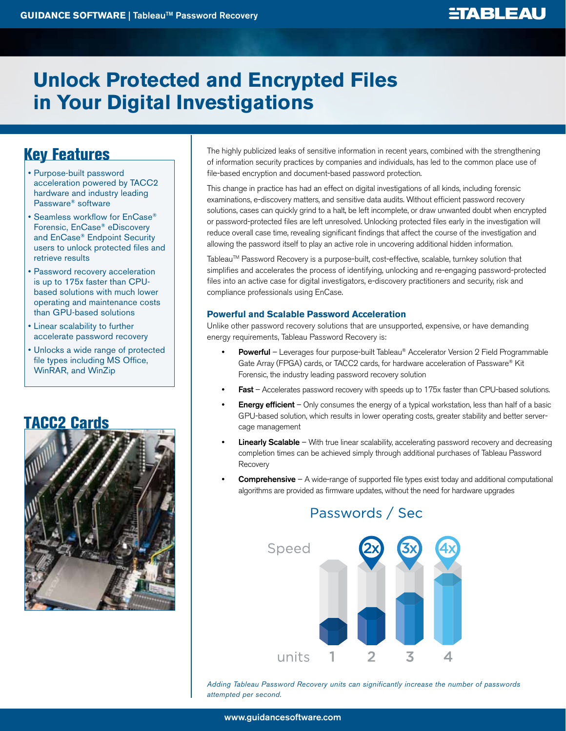# **Unlock Protected and Encrypted Files in Your Digital Investigations**

## Key Features

- • Purpose-built password acceleration powered by TACC2 hardware and industry leading Passware® software
- Seamless workflow for EnCase® Forensic, EnCase® eDiscovery and EnCase® Endpoint Security users to unlock protected files and retrieve results
- Password recovery acceleration is up to 175x faster than CPUbased solutions with much lower operating and maintenance costs than GPU-based solutions
- • Linear scalability to further accelerate password recovery
- • Unlocks a wide range of protected file types including MS Office, WinRAR, and WinZip

## TACC2 Cards



The highly publicized leaks of sensitive information in recent years, combined with the strengthening of information security practices by companies and individuals, has led to the common place use of file-based encryption and document-based password protection.

This change in practice has had an effect on digital investigations of all kinds, including forensic examinations, e-discovery matters, and sensitive data audits. Without efficient password recovery solutions, cases can quickly grind to a halt, be left incomplete, or draw unwanted doubt when encrypted or password-protected files are left unresolved. Unlocking protected files early in the investigation will reduce overall case time, revealing significant findings that affect the course of the investigation and allowing the password itself to play an active role in uncovering additional hidden information.

Tableau™ Password Recovery is a purpose-built, cost-effective, scalable, turnkey solution that simplifies and accelerates the process of identifying, unlocking and re-engaging password-protected files into an active case for digital investigators, e-discovery practitioners and security, risk and compliance professionals using EnCase.

### **Powerful and Scalable Password Acceleration**

Unlike other password recovery solutions that are unsupported, expensive, or have demanding energy requirements, Tableau Password Recovery is:

- **Powerful** Leverages four purpose-built Tableau® Accelerator Version 2 Field Programmable Gate Array (FPGA) cards, or TACC2 cards, for hardware acceleration of Passware® Kit Forensic, the industry leading password recovery solution
- Fast Accelerates password recovery with speeds up to 175x faster than CPU-based solutions.
- **Energy efficient** Only consumes the energy of a typical workstation, less than half of a basic GPU-based solution, which results in lower operating costs, greater stability and better servercage management
- **Linearly Scalable** With true linear scalability, accelerating password recovery and decreasing completion times can be achieved simply through additional purchases of Tableau Password **Recovery**
- **Comprehensive**  $A$  wide-range of supported file types exist today and additional computational algorithms are provided as firmware updates, without the need for hardware upgrades



### *Adding Tableau Password Recovery units can significantly increase the number of passwords attempted per second.*

Passwords / Sec